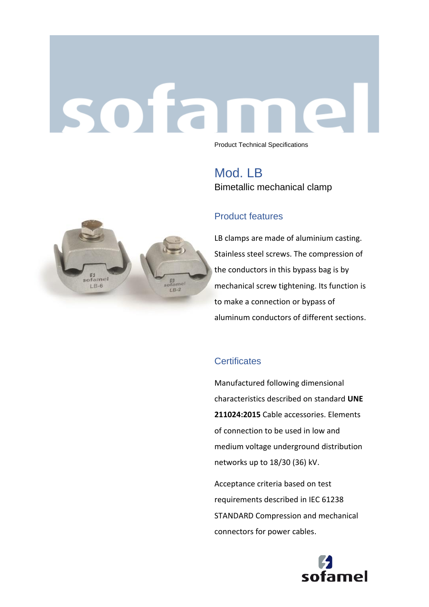## sofan

Product Technical Specifications

Mod. LB Bimetallic mechanical clamp

## Product features

LB clamps are made of aluminium casting. Stainless steel screws. The compression of the conductors in this bypass bag is by mechanical screw tightening. Its function is to make a connection or bypass of aluminum conductors of different sections.

## **Certificates**

Manufactured following dimensional characteristics described on standard **UNE 211024:2015** Cable accessories. Elements of connection to be used in low and medium voltage underground distribution networks up to 18/30 (36) kV.

Acceptance criteria based on test requirements described in IEC 61238 STANDARD Compression and mechanical connectors for power cables.